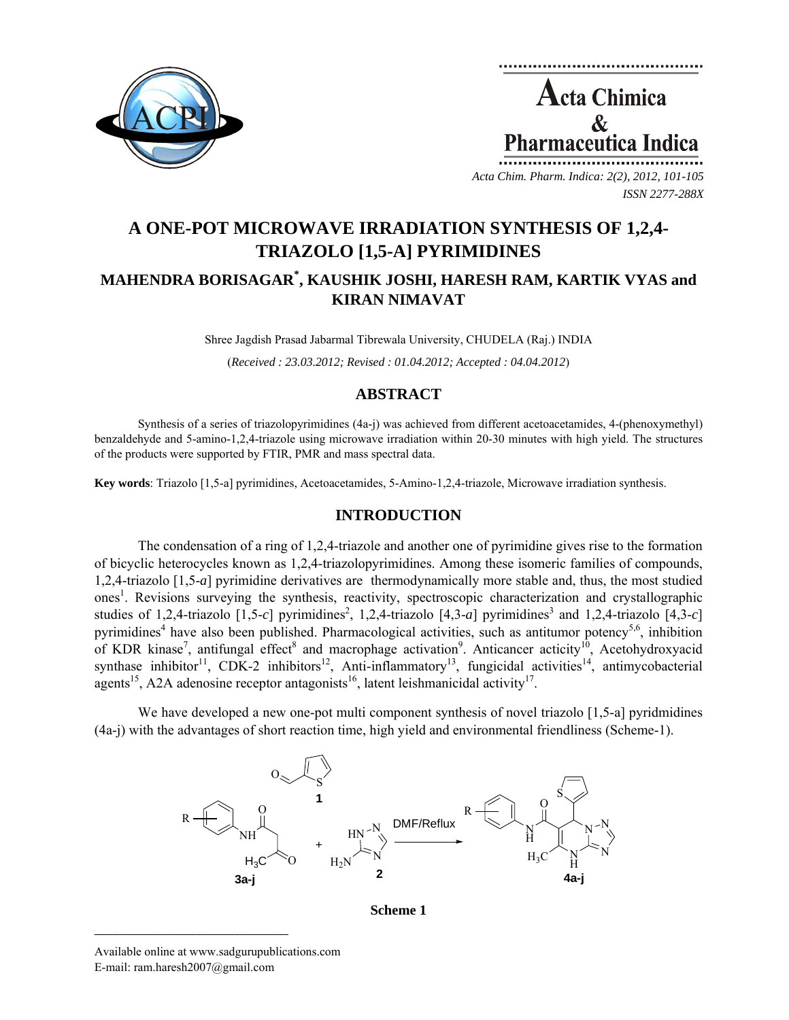

**Acta Chimica** maceutica l

*Acta Chim. Pharm. Indica: 2(2), 2012, 101-105 ISSN 2277-288X*

# **A ONE-POT MICROWAVE IRRADIATION SYNTHESIS OF 1,2,4- TRIAZOLO [1,5-A] PYRIMIDINES MAHENDRA BORISAGAR\* , KAUSHIK JOSHI, HARESH RAM, KARTIK VYAS and KIRAN NIMAVAT**

Shree Jagdish Prasad Jabarmal Tibrewala University, CHUDELA (Raj.) INDIA (*Received : 23.03.2012; Revised : 01.04.2012; Accepted : 04.04.2012*)

# **ABSTRACT**

Synthesis of a series of triazolopyrimidines (4a-j) was achieved from different acetoacetamides, 4-(phenoxymethyl) benzaldehyde and 5-amino-1,2,4-triazole using microwave irradiation within 20-30 minutes with high yield. The structures of the products were supported by FTIR, PMR and mass spectral data.

**Key words**: Triazolo [1,5-a] pyrimidines, Acetoacetamides, 5-Amino-1,2,4-triazole, Microwave irradiation synthesis.

## **INTRODUCTION**

The condensation of a ring of 1,2,4-triazole and another one of pyrimidine gives rise to the formation of bicyclic heterocycles known as 1,2,4-triazolopyrimidines. Among these isomeric families of compounds, 1,2,4-triazolo [1,5-*a*] pyrimidine derivatives are thermodynamically more stable and, thus, the most studied ones<sup>1</sup>. Revisions surveying the synthesis, reactivity, spectroscopic characterization and crystallographic studies of 1,2,4-triazolo  $[1,5-c]$  pyrimidines<sup>2</sup>, 1,2,4-triazolo  $[4,3-a]$  pyrimidines<sup>3</sup> and 1,2,4-triazolo  $[4,3-c]$ pyrimidines<sup>4</sup> have also been published. Pharmacological activities, such as antitumor potency<sup>5,6</sup>, inhibition of KDR kinase<sup>7</sup>, antifungal effect<sup>8</sup> and macrophage activation<sup>9</sup>. Anticancer acticity<sup>10</sup>, Acetohydroxyacid synthase inhibitor<sup>11</sup>, CDK-2 inhibitors<sup>12</sup>, Anti-inflammatory<sup>13</sup>, fungicidal activities<sup>14</sup>, antimycobacterial agents<sup>15</sup>, A2A adenosine receptor antagonists<sup>16</sup>, latent leishmanicidal activity<sup>17</sup>.

We have developed a new one-pot multi component synthesis of novel triazolo [1,5-a] pyridmidines (4a-j) with the advantages of short reaction time, high yield and environmental friendliness (Scheme-1).



**Scheme 1** 

**\_\_\_\_\_\_\_\_\_\_\_\_\_\_\_\_\_\_\_\_\_\_\_\_\_\_\_\_\_\_\_\_\_\_\_\_\_\_\_\_**

Available online at www.sadgurupublications.com E-mail: ram.haresh2007@gmail.com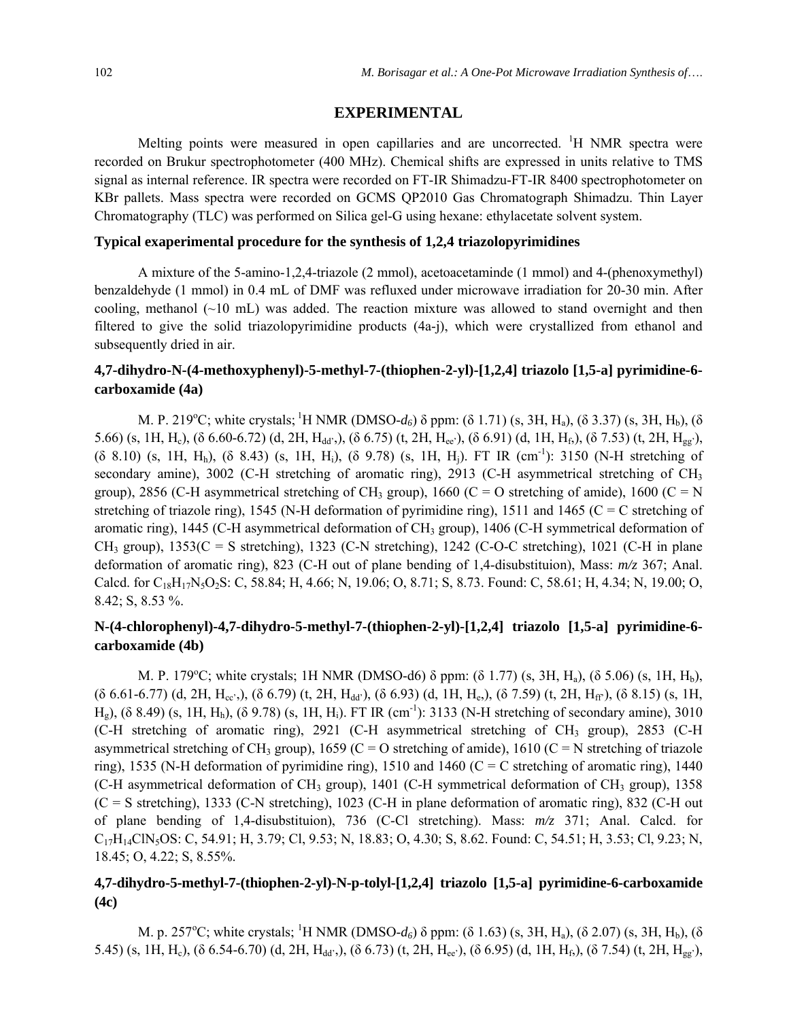#### **EXPERIMENTAL**

Melting points were measured in open capillaries and are uncorrected. <sup>1</sup>H NMR spectra were recorded on Brukur spectrophotometer (400 MHz). Chemical shifts are expressed in units relative to TMS signal as internal reference. IR spectra were recorded on FT-IR Shimadzu-FT-IR 8400 spectrophotometer on KBr pallets. Mass spectra were recorded on GCMS QP2010 Gas Chromatograph Shimadzu. Thin Layer Chromatography (TLC) was performed on Silica gel-G using hexane: ethylacetate solvent system.

#### **Typical exaperimental procedure for the synthesis of 1,2,4 triazolopyrimidines**

A mixture of the 5-amino-1,2,4-triazole (2 mmol), acetoacetaminde (1 mmol) and 4-(phenoxymethyl) benzaldehyde (1 mmol) in 0.4 mL of DMF was refluxed under microwave irradiation for 20-30 min. After cooling, methanol  $(\sim 10 \text{ mL})$  was added. The reaction mixture was allowed to stand overnight and then filtered to give the solid triazolopyrimidine products (4a-j), which were crystallized from ethanol and subsequently dried in air.

## **4,7-dihydro-N-(4-methoxyphenyl)-5-methyl-7-(thiophen-2-yl)-[1,2,4] triazolo [1,5-a] pyrimidine-6 carboxamide (4a)**

M. P. 219<sup>o</sup>C; white crystals; <sup>1</sup>H NMR (DMSO-*d*<sub>6</sub>) δ ppm: (δ 1.71) (s, 3H, H<sub>a</sub>), (δ 3.37) (s, 3H, H<sub>b</sub>), (δ 5.66) (s, 1H, H<sub>c</sub>), (δ 6.60-6.72) (d, 2H, H<sub>dd'</sub>,), (δ 6.75) (t, 2H, H<sub>ee'</sub>), (δ 6.91) (d, 1H, H<sub>f</sub>,), (δ 7.53) (t, 2H, H<sub>gg'</sub>), (δ 8.10) (s, 1H, H<sub>h</sub>), (δ 8.43) (s, 1H, H<sub>i</sub>), (δ 9.78) (s, 1H, H<sub>i</sub>). FT IR (cm<sup>-1</sup>): 3150 (N-H stretching of secondary amine), 3002 (C-H stretching of aromatic ring), 2913 (C-H asymmetrical stretching of CH<sub>3</sub> group), 2856 (C-H asymmetrical stretching of CH<sub>3</sub> group), 1660 (C = O stretching of amide), 1600 (C = N stretching of triazole ring), 1545 (N-H deformation of pyrimidine ring), 1511 and 1465 ( $C = C$  stretching of aromatic ring), 1445 (C-H asymmetrical deformation of CH<sub>3</sub> group), 1406 (C-H symmetrical deformation of  $CH_3$  group),  $1353(C = S$  stretching), 1323 (C-N stretching), 1242 (C-O-C stretching), 1021 (C-H in plane deformation of aromatic ring), 823 (C-H out of plane bending of 1,4-disubstituion), Mass: *m/z* 367; Anal. Calcd. for  $C_{18}H_{17}N_5O_2S$ : C, 58.84; H, 4.66; N, 19.06; O, 8.71; S, 8.73. Found: C, 58.61; H, 4.34; N, 19.00; O, 8.42; S, 8.53 %.

# **N-(4-chlorophenyl)-4,7-dihydro-5-methyl-7-(thiophen-2-yl)-[1,2,4] triazolo [1,5-a] pyrimidine-6 carboxamide (4b)**

M. P. 179°C; white crystals; 1H NMR (DMSO-d6)  $\delta$  ppm: ( $\delta$  1.77) (s, 3H, H<sub>a</sub>), ( $\delta$  5.06) (s, 1H, H<sub>b</sub>),  $( \delta 6.61-6.77)$  (d, 2H, H<sub>cc'</sub>,),  $( \delta 6.79)$  (t, 2H, H<sub>dd'</sub>),  $( \delta 6.93)$  (d, 1H, H<sub>e</sub>),  $( \delta 7.59)$  (t, 2H, H<sub>ff</sub>),  $( \delta 8.15)$  (s, 1H,  $H<sub>g</sub>$ ), (δ 8.49) (s, 1H, H<sub>h</sub>), (δ 9.78) (s, 1H, H<sub>i</sub>). FT IR (cm<sup>-1</sup>): 3133 (N-H stretching of secondary amine), 3010 (C-H stretching of aromatic ring),  $2921$  (C-H asymmetrical stretching of CH<sub>3</sub> group),  $2853$  (C-H asymmetrical stretching of CH<sub>3</sub> group), 1659 (C = O stretching of amide), 1610 (C = N stretching of triazole ring), 1535 (N-H deformation of pyrimidine ring), 1510 and 1460 (C = C stretching of aromatic ring), 1440 (C-H asymmetrical deformation of CH<sub>3</sub> group), 1401 (C-H symmetrical deformation of CH<sub>3</sub> group), 1358 (C = S stretching), 1333 (C-N stretching), 1023 (C-H in plane deformation of aromatic ring), 832 (C-H out of plane bending of 1,4-disubstituion), 736 (C-Cl stretching). Mass: *m/z* 371; Anal. Calcd. for C17H14ClN5OS: C, 54.91; H, 3.79; Cl, 9.53; N, 18.83; O, 4.30; S, 8.62. Found: C, 54.51; H, 3.53; Cl, 9.23; N, 18.45; O, 4.22; S, 8.55%.

### **4,7-dihydro-5-methyl-7-(thiophen-2-yl)-N-p-tolyl-[1,2,4] triazolo [1,5-a] pyrimidine-6-carboxamide (4c)**

M. p. 257<sup>o</sup>C; white crystals; <sup>1</sup>H NMR (DMSO-*d*<sub>6</sub>) δ ppm: (δ 1.63) (s, 3H, H<sub>a</sub>), (δ 2.07) (s, 3H, H<sub>b</sub>), (δ 5.45) (s, 1H, H<sub>c</sub>), (δ 6.54-6.70) (d, 2H, H<sub>dd'</sub>,), (δ 6.73) (t, 2H, H<sub>ee'</sub>), (δ 6.95) (d, 1H, H<sub>f</sub>), (δ 7.54) (t, 2H, H<sub>gg'</sub>),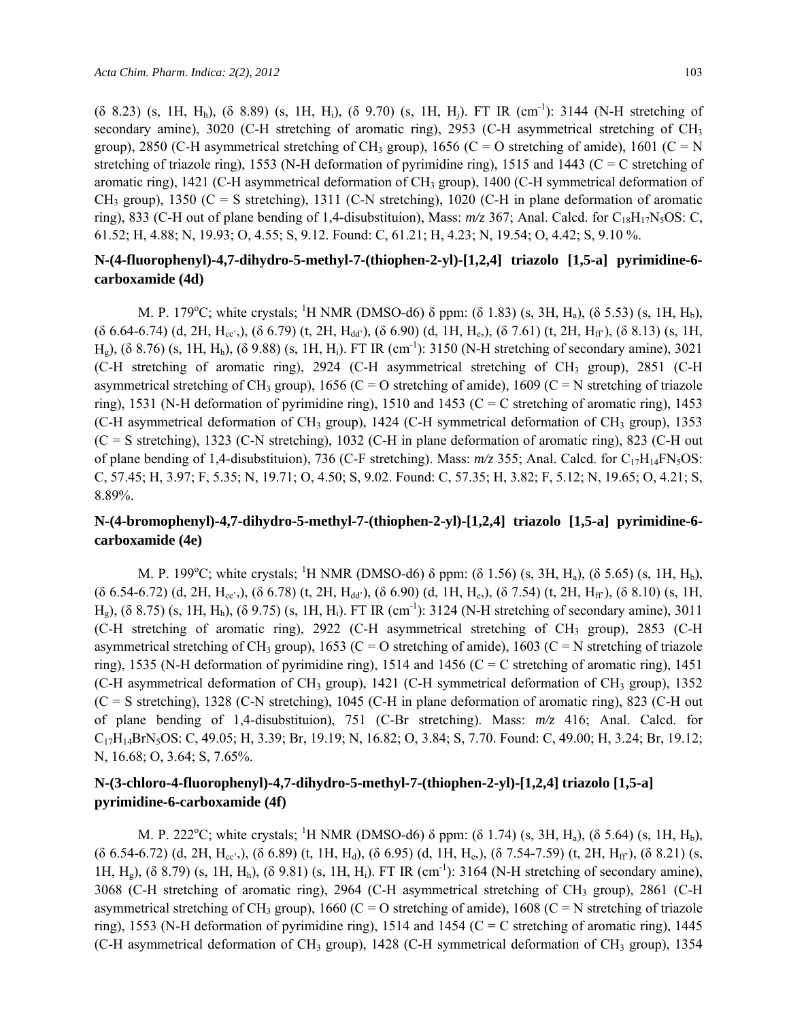$(6, 8.23)$  (s, 1H, H<sub>h</sub>),  $(6, 8.89)$  (s, 1H, H<sub>i</sub>),  $(6, 9.70)$  (s, 1H, H<sub>i</sub>). FT IR (cm<sup>-1</sup>): 3144 (N-H stretching of secondary amine), 3020 (C-H stretching of aromatic ring), 2953 (C-H asymmetrical stretching of  $CH<sub>3</sub>$ group), 2850 (C-H asymmetrical stretching of CH<sub>3</sub> group), 1656 (C = O stretching of amide), 1601 (C = N stretching of triazole ring), 1553 (N-H deformation of pyrimidine ring), 1515 and 1443 ( $C = C$  stretching of aromatic ring),  $1421$  (C-H asymmetrical deformation of CH<sub>3</sub> group),  $1400$  (C-H symmetrical deformation of  $CH_3$  group), 1350 (C = S stretching), 1311 (C-N stretching), 1020 (C-H in plane deformation of aromatic ring), 833 (C-H out of plane bending of 1,4-disubstituion), Mass:  $m/z$  367; Anal. Calcd. for C<sub>18</sub>H<sub>17</sub>N<sub>5</sub>OS: C, 61.52; H, 4.88; N, 19.93; O, 4.55; S, 9.12. Found: C, 61.21; H, 4.23; N, 19.54; O, 4.42; S, 9.10 %.

# **N-(4-fluorophenyl)-4,7-dihydro-5-methyl-7-(thiophen-2-yl)-[1,2,4] triazolo [1,5-a] pyrimidine-6 carboxamide (4d)**

M. P. 179<sup>o</sup>C; white crystals; <sup>1</sup>H NMR (DMSO-d6)  $\delta$  ppm: ( $\delta$  1.83) (s, 3H, H<sub>a</sub>), ( $\delta$  5.53) (s, 1H, H<sub>b</sub>),  $( \delta 6.64-6.74)$  (d, 2H, H<sub>cc'</sub>,),  $( \delta 6.79)$  (t, 2H, H<sub>dd'</sub>),  $( \delta 6.90)$  (d, 1H, H<sub>e</sub>),  $( \delta 7.61)$  (t, 2H, H<sub>ff</sub>),  $( \delta 8.13)$  (s, 1H, H<sub>e</sub>), (δ 8.76) (s, 1H, H<sub>h</sub>), (δ 9.88) (s, 1H, H<sub>i</sub>). FT IR (cm<sup>-1</sup>): 3150 (N-H stretching of secondary amine), 3021 (C-H stretching of aromatic ring),  $2924$  (C-H asymmetrical stretching of CH<sub>3</sub> group),  $2851$  (C-H asymmetrical stretching of CH<sub>3</sub> group), 1656 (C = O stretching of amide), 1609 (C = N stretching of triazole ring), 1531 (N-H deformation of pyrimidine ring), 1510 and 1453 (C = C stretching of aromatic ring), 1453 (C-H asymmetrical deformation of CH<sub>3</sub> group), 1424 (C-H symmetrical deformation of CH<sub>3</sub> group), 1353 (C = S stretching), 1323 (C-N stretching), 1032 (C-H in plane deformation of aromatic ring), 823 (C-H out of plane bending of 1,4-disubstituion), 736 (C-F stretching). Mass:  $m/z$  355; Anal. Calcd. for C<sub>17</sub>H<sub>14</sub>FN<sub>5</sub>OS: C, 57.45; H, 3.97; F, 5.35; N, 19.71; O, 4.50; S, 9.02. Found: C, 57.35; H, 3.82; F, 5.12; N, 19.65; O, 4.21; S, 8.89%.

# **N-(4-bromophenyl)-4,7-dihydro-5-methyl-7-(thiophen-2-yl)-[1,2,4] triazolo [1,5-a] pyrimidine-6 carboxamide (4e)**

M. P. 199°C; white crystals; <sup>1</sup>H NMR (DMSO-d6)  $\delta$  ppm: ( $\delta$  1.56) (s, 3H, H<sub>a</sub>), ( $\delta$  5.65) (s, 1H, H<sub>b</sub>),  $( \delta 6.54-6.72)$  (d, 2H, H<sub>cc'</sub>,), ( $\delta 6.78$ ) (t, 2H, H<sub>dd'</sub>), ( $\delta 6.90$ ) (d, 1H, H<sub>e</sub>), ( $\delta 7.54$ ) (t, 2H, H<sub>ff</sub>), ( $\delta 8.10$ ) (s, 1H,  $H<sub>g</sub>$ ), (δ 8.75) (s, 1H, H<sub>h</sub>), (δ 9.75) (s, 1H, H<sub>i</sub>). FT IR (cm<sup>-1</sup>): 3124 (N-H stretching of secondary amine), 3011 (C-H stretching of aromatic ring), 2922 (C-H asymmetrical stretching of CH<sub>3</sub> group), 2853 (C-H asymmetrical stretching of CH<sub>3</sub> group), 1653 (C = O stretching of amide), 1603 (C = N stretching of triazole ring), 1535 (N-H deformation of pyrimidine ring), 1514 and 1456 (C = C stretching of aromatic ring), 1451 (C-H asymmetrical deformation of CH<sub>3</sub> group), 1421 (C-H symmetrical deformation of CH<sub>3</sub> group), 1352  $(C = S$  stretching), 1328 (C-N stretching), 1045 (C-H in plane deformation of aromatic ring), 823 (C-H out of plane bending of 1,4-disubstituion), 751 (C-Br stretching). Mass: *m/z* 416; Anal. Calcd. for C17H14BrN5OS: C, 49.05; H, 3.39; Br, 19.19; N, 16.82; O, 3.84; S, 7.70. Found: C, 49.00; H, 3.24; Br, 19.12; N, 16.68; O, 3.64; S, 7.65%.

# **N-(3-chloro-4-fluorophenyl)-4,7-dihydro-5-methyl-7-(thiophen-2-yl)-[1,2,4] triazolo [1,5-a] pyrimidine-6-carboxamide (4f)**

M. P. 222<sup>o</sup>C; white crystals; <sup>1</sup>H NMR (DMSO-d6)  $\delta$  ppm: ( $\delta$  1.74) (s, 3H, H<sub>a</sub>), ( $\delta$  5.64) (s, 1H, H<sub>b</sub>),  $( \delta 6.54-6.72)$  (d, 2H, H<sub>cc'</sub>,), ( $\delta 6.89$ ) (t, 1H, H<sub>d</sub>), ( $\delta 6.95$ ) (d, 1H, H<sub>e</sub>), ( $\delta 7.54-7.59$ ) (t, 2H, H<sub>ff</sub>), ( $\delta 8.21$ ) (s, 1H,  $H_g$ ), (δ 8.79) (s, 1H,  $H_h$ ), (δ 9.81) (s, 1H,  $H_i$ ). FT IR (cm<sup>-1</sup>): 3164 (N-H stretching of secondary amine), 3068 (C-H stretching of aromatic ring), 2964 (C-H asymmetrical stretching of CH<sub>3</sub> group), 2861 (C-H asymmetrical stretching of CH<sub>3</sub> group), 1660 (C = O stretching of amide), 1608 (C = N stretching of triazole ring), 1553 (N-H deformation of pyrimidine ring), 1514 and 1454 (C = C stretching of aromatic ring), 1445 (C-H asymmetrical deformation of CH<sub>3</sub> group), 1428 (C-H symmetrical deformation of CH<sub>3</sub> group), 1354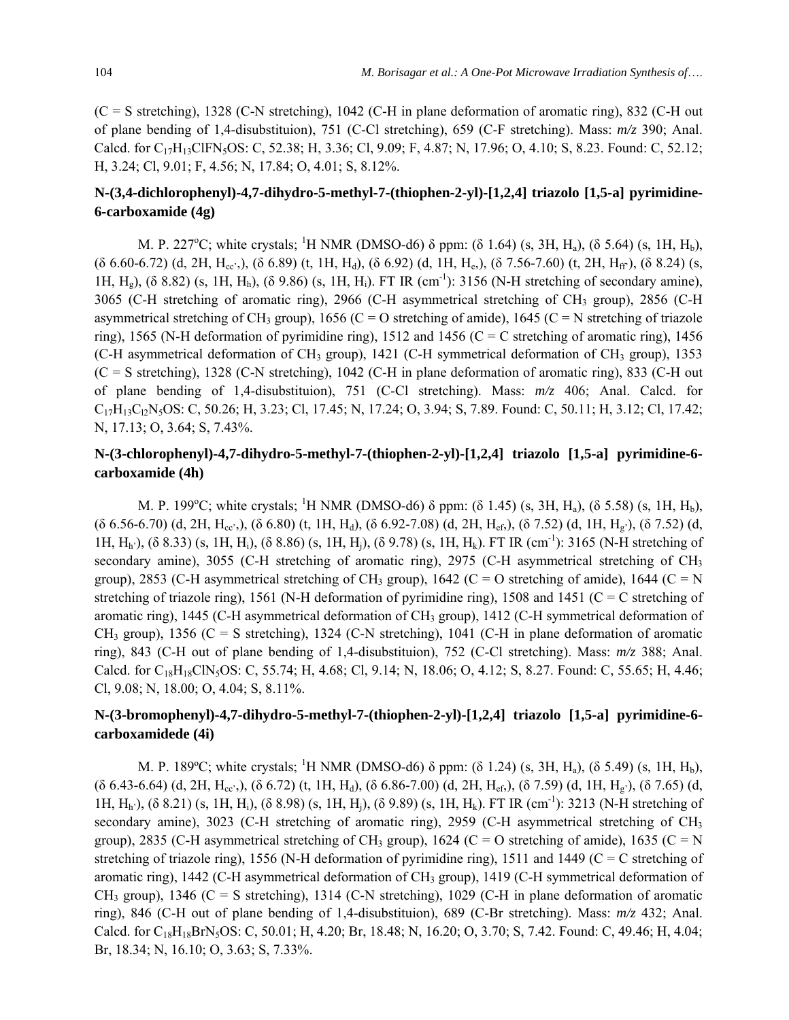(C = S stretching), 1328 (C-N stretching), 1042 (C-H in plane deformation of aromatic ring), 832 (C-H out of plane bending of 1,4-disubstituion), 751 (C-Cl stretching), 659 (C-F stretching). Mass: *m/z* 390; Anal. Calcd. for C<sub>17</sub>H<sub>13</sub>ClFN<sub>5</sub>OS: C, 52.38; H, 3.36; Cl, 9.09; F, 4.87; N, 17.96; O, 4.10; S, 8.23. Found: C, 52.12; H, 3.24; Cl, 9.01; F, 4.56; N, 17.84; O, 4.01; S, 8.12%.

# **N-(3,4-dichlorophenyl)-4,7-dihydro-5-methyl-7-(thiophen-2-yl)-[1,2,4] triazolo [1,5-a] pyrimidine-6-carboxamide (4g)**

M. P. 227<sup>o</sup>C; white crystals; <sup>1</sup>H NMR (DMSO-d6)  $\delta$  ppm: ( $\delta$  1.64) (s, 3H, H<sub>a</sub>), ( $\delta$  5.64) (s, 1H, H<sub>b</sub>),  $($ δ 6.60-6.72) (d, 2H, H<sub>cc</sub>',), (δ 6.89) (t, 1H, H<sub>d</sub>), (δ 6.92) (d, 1H, H<sub>e</sub>), (δ 7.56-7.60) (t, 2H, H<sub>ff</sub>'), (δ 8.24) (s, 1H, H<sub>g</sub>), (δ 8.82) (s, 1H, H<sub>h</sub>), (δ 9.86) (s, 1H, H<sub>i</sub>). FT IR (cm<sup>-1</sup>): 3156 (N-H stretching of secondary amine), 3065 (C-H stretching of aromatic ring), 2966 (C-H asymmetrical stretching of CH<sub>3</sub> group), 2856 (C-H asymmetrical stretching of CH<sub>3</sub> group), 1656 (C = O stretching of amide), 1645 (C = N stretching of triazole ring), 1565 (N-H deformation of pyrimidine ring), 1512 and 1456 (C = C stretching of aromatic ring), 1456 (C-H asymmetrical deformation of CH<sub>3</sub> group), 1421 (C-H symmetrical deformation of CH<sub>3</sub> group), 1353 (C = S stretching), 1328 (C-N stretching), 1042 (C-H in plane deformation of aromatic ring), 833 (C-H out of plane bending of 1,4-disubstituion), 751 (C-Cl stretching). Mass: *m/z* 406; Anal. Calcd. for C17H13Cl2N5OS: C, 50.26; H, 3.23; Cl, 17.45; N, 17.24; O, 3.94; S, 7.89. Found: C, 50.11; H, 3.12; Cl, 17.42; N, 17.13; O, 3.64; S, 7.43%.

# **N-(3-chlorophenyl)-4,7-dihydro-5-methyl-7-(thiophen-2-yl)-[1,2,4] triazolo [1,5-a] pyrimidine-6 carboxamide (4h)**

M. P. 199<sup>o</sup>C; white crystals; <sup>1</sup>H NMR (DMSO-d6)  $\delta$  ppm: ( $\delta$  1.45) (s, 3H, H<sub>a</sub>), ( $\delta$  5.58) (s, 1H, H<sub>b</sub>),  $( \delta 6.56-6.70)$  (d, 2H, H<sub>cc</sub>',),  $( \delta 6.80)$  (t, 1H, H<sub>d</sub>),  $( \delta 6.92-7.08)$  (d, 2H, H<sub>ef</sub>),  $( \delta 7.52)$  (d, 1H, H<sub>g'</sub>),  $( \delta 7.52)$  (d, 1H,  $H_h$ <sup>'</sup>), (δ 8.33) (s, 1H, H<sub>i</sub>), (δ 8.86) (s, 1H, H<sub>i</sub>), (δ 9.78) (s, 1H, H<sub>k</sub>). FT IR (cm<sup>-1</sup>): 3165 (N-H stretching of secondary amine), 3055 (C-H stretching of aromatic ring), 2975 (C-H asymmetrical stretching of  $CH<sub>3</sub>$ group), 2853 (C-H asymmetrical stretching of CH<sub>3</sub> group), 1642 (C = O stretching of amide), 1644 (C = N stretching of triazole ring), 1561 (N-H deformation of pyrimidine ring), 1508 and 1451 (C = C stretching of aromatic ring), 1445 (C-H asymmetrical deformation of CH<sub>3</sub> group), 1412 (C-H symmetrical deformation of  $CH_3$  group), 1356 (C = S stretching), 1324 (C-N stretching), 1041 (C-H in plane deformation of aromatic ring), 843 (C-H out of plane bending of 1,4-disubstituion), 752 (C-Cl stretching). Mass: *m/z* 388; Anal. Calcd. for C<sub>18</sub>H<sub>18</sub>ClN<sub>5</sub>OS: C, 55.74; H, 4.68; Cl, 9.14; N, 18.06; O, 4.12; S, 8.27. Found: C, 55.65; H, 4.46; Cl, 9.08; N, 18.00; O, 4.04; S, 8.11%.

# **N-(3-bromophenyl)-4,7-dihydro-5-methyl-7-(thiophen-2-yl)-[1,2,4] triazolo [1,5-a] pyrimidine-6 carboxamidede (4i)**

M. P. 189°C; white crystals; <sup>1</sup>H NMR (DMSO-d6)  $\delta$  ppm: ( $\delta$  1.24) (s, 3H, H<sub>a</sub>), ( $\delta$  5.49) (s, 1H, H<sub>b</sub>),  $( \delta 6.43-6.64)$  (d, 2H, H<sub>cc'</sub>,),  $( \delta 6.72)$  (t, 1H, H<sub>d</sub>),  $( \delta 6.86-7.00)$  (d, 2H, H<sub>ef</sub>),  $( \delta 7.59)$  (d, 1H, H<sub>g'</sub>),  $( \delta 7.65)$  (d, 1H, Hh'), (δ 8.21) (s, 1H, Hi), (δ 8.98) (s, 1H, Hj), (δ 9.89) (s, 1H, Hk). FT IR (cm-1): 3213 (N-H stretching of secondary amine), 3023 (C-H stretching of aromatic ring), 2959 (C-H asymmetrical stretching of CH<sub>3</sub> group), 2835 (C-H asymmetrical stretching of CH<sub>3</sub> group), 1624 (C = O stretching of amide), 1635 (C = N stretching of triazole ring), 1556 (N-H deformation of pyrimidine ring), 1511 and 1449 (C = C stretching of aromatic ring),  $1442$  (C-H asymmetrical deformation of CH<sub>3</sub> group),  $1419$  (C-H symmetrical deformation of  $CH_3$  group), 1346 (C = S stretching), 1314 (C-N stretching), 1029 (C-H in plane deformation of aromatic ring), 846 (C-H out of plane bending of 1,4-disubstituion), 689 (C-Br stretching). Mass: *m/z* 432; Anal. Calcd. for C<sub>18</sub>H<sub>18</sub>BrN<sub>5</sub>OS: C, 50.01; H, 4.20; Br, 18.48; N, 16.20; O, 3.70; S, 7.42. Found: C, 49.46; H, 4.04; Br, 18.34; N, 16.10; O, 3.63; S, 7.33%.